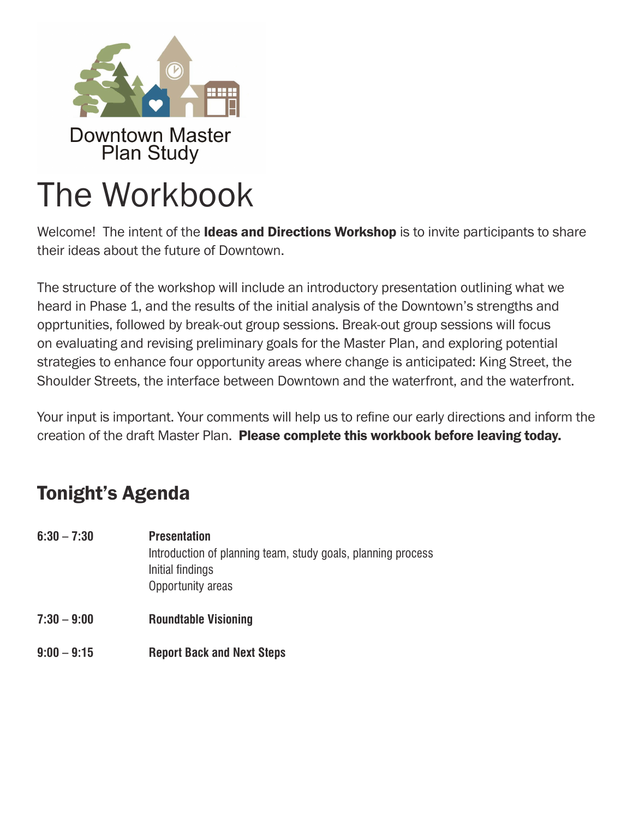

# The Workbook

Welcome! The intent of the **Ideas and Directions Workshop** is to invite participants to share their ideas about the future of Downtown.

The structure of the workshop will include an introductory presentation outlining what we heard in Phase 1, and the results of the initial analysis of the Downtown's strengths and opprtunities, followed by break-out group sessions. Break-out group sessions will focus on evaluating and revising preliminary goals for the Master Plan, and exploring potential strategies to enhance four opportunity areas where change is anticipated: King Street, the Shoulder Streets, the interface between Downtown and the waterfront, and the waterfront.

Your input is important. Your comments will help us to refine our early directions and inform the creation of the draft Master Plan. Please complete this workbook before leaving today.

## Tonight's Agenda

- **6:30 7:30 Presentation** Introduction of planning team, study goals, planning process Initial findings Opportunity areas
- **7:30 9:00 Roundtable Visioning**
- **9:00 9:15 Report Back and Next Steps**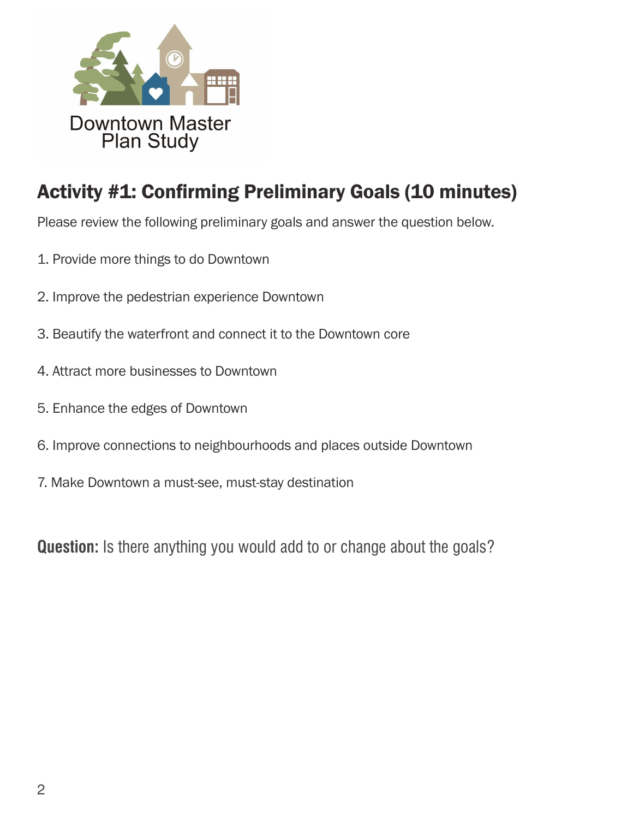

## Activity #1: Confirming Preliminary Goals (10 minutes)

Please review the following preliminary goals and answer the question below.

- 1. Provide more things to do Downtown
- 2. Improve the pedestrian experience Downtown
- 3. Beautify the waterfront and connect it to the Downtown core
- 4. Attract more businesses to Downtown
- 5. Enhance the edges of Downtown
- 6. Improve connections to neighbourhoods and places outside Downtown
- 7. Make Downtown a must-see, must-stay destination

**Question:** Is there anything you would add to or change about the goals?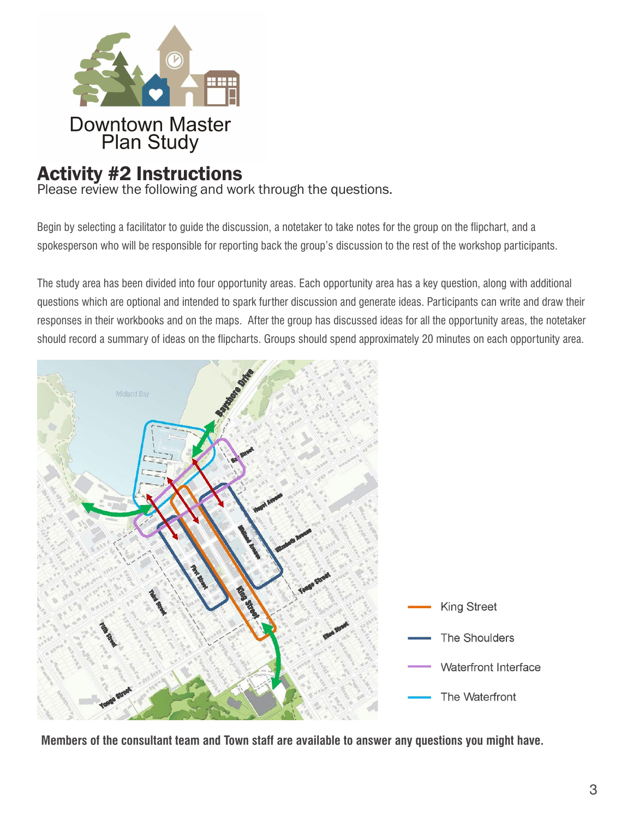

## Activity #2 Instructions

Please review the following and work through the questions.

Begin by selecting a facilitator to guide the discussion, a notetaker to take notes for the group on the flipchart, and a spokesperson who will be responsible for reporting back the group's discussion to the rest of the workshop participants.

The study area has been divided into four opportunity areas. Each opportunity area has a key question, along with additional questions which are optional and intended to spark further discussion and generate ideas. Participants can write and draw their responses in their workbooks and on the maps. After the group has discussed ideas for all the opportunity areas, the notetaker should record a summary of ideas on the flipcharts. Groups should spend approximately 20 minutes on each opportunity area.



**Members of the consultant team and Town staff are available to answer any questions you might have.**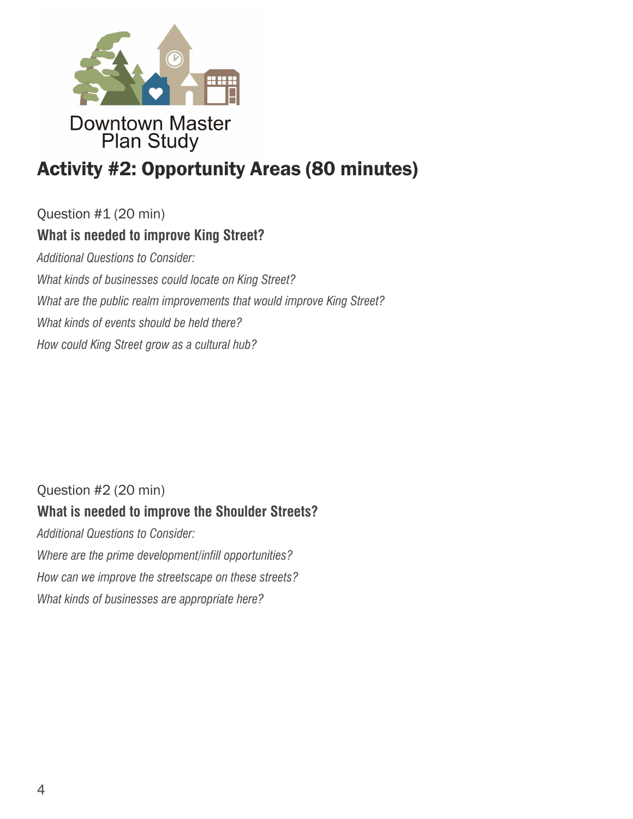

# Activity #2: Opportunity Areas (80 minutes)

Question #1 (20 min) **What is needed to improve King Street?**  *Additional Questions to Consider: What kinds of businesses could locate on King Street? What are the public realm improvements that would improve King Street? What kinds of events should be held there? How could King Street grow as a cultural hub?* 

## Question #2 (20 min) **What is needed to improve the Shoulder Streets?**

*Additional Questions to Consider: Where are the prime development/infill opportunities? How can we improve the streetscape on these streets? What kinds of businesses are appropriate here?*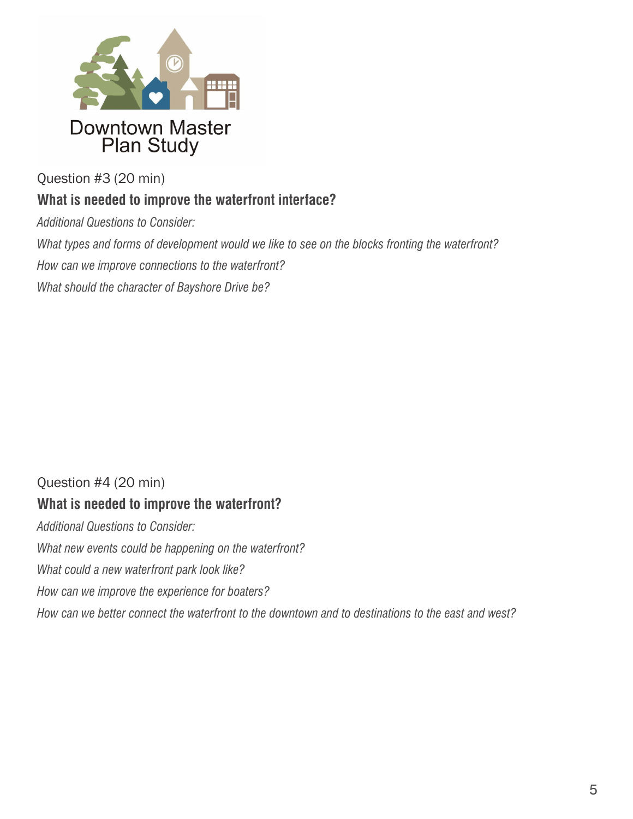

Question #3 (20 min)

### **What is needed to improve the waterfront interface?**

*Additional Questions to Consider:*

*What types and forms of development would we like to see on the blocks fronting the waterfront?*

*How can we improve connections to the waterfront?*

*What should the character of Bayshore Drive be?*

### Question #4 (20 min)

#### **What is needed to improve the waterfront?**

*Additional Questions to Consider: What new events could be happening on the waterfront? What could a new waterfront park look like? How can we improve the experience for boaters? How can we better connect the waterfront to the downtown and to destinations to the east and west?*